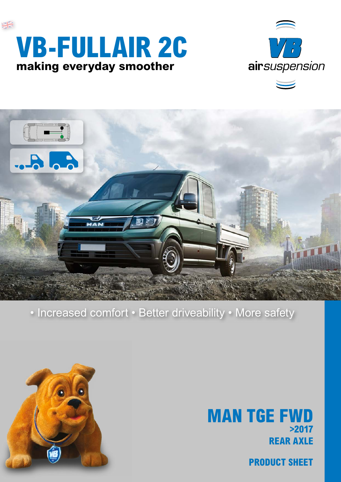





## • Increased comfort • Better driveability • More safety



## **REAR AXLE MAN TGE FWD >2017**

**PRODUCT SHEET**